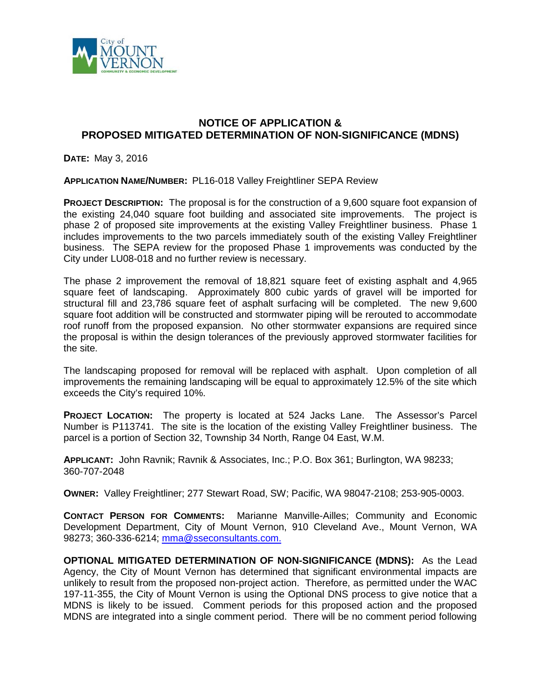

## **NOTICE OF APPLICATION & PROPOSED MITIGATED DETERMINATION OF NON-SIGNIFICANCE (MDNS)**

**DATE:** May 3, 2016

**APPLICATION NAME/NUMBER:** PL16-018 Valley Freightliner SEPA Review

**PROJECT DESCRIPTION:** The proposal is for the construction of a 9,600 square foot expansion of the existing 24,040 square foot building and associated site improvements. The project is phase 2 of proposed site improvements at the existing Valley Freightliner business. Phase 1 includes improvements to the two parcels immediately south of the existing Valley Freightliner business. The SEPA review for the proposed Phase 1 improvements was conducted by the City under LU08-018 and no further review is necessary.

The phase 2 improvement the removal of 18,821 square feet of existing asphalt and 4,965 square feet of landscaping. Approximately 800 cubic yards of gravel will be imported for structural fill and 23,786 square feet of asphalt surfacing will be completed. The new 9,600 square foot addition will be constructed and stormwater piping will be rerouted to accommodate roof runoff from the proposed expansion. No other stormwater expansions are required since the proposal is within the design tolerances of the previously approved stormwater facilities for the site.

The landscaping proposed for removal will be replaced with asphalt. Upon completion of all improvements the remaining landscaping will be equal to approximately 12.5% of the site which exceeds the City's required 10%.

**PROJECT LOCATION:** The property is located at 524 Jacks Lane. The Assessor's Parcel Number is P113741. The site is the location of the existing Valley Freightliner business. The parcel is a portion of Section 32, Township 34 North, Range 04 East, W.M.

**APPLICANT:** John Ravnik; Ravnik & Associates, Inc.; P.O. Box 361; Burlington, WA 98233; 360-707-2048

**OWNER:** Valley Freightliner; 277 Stewart Road, SW; Pacific, WA 98047-2108; 253-905-0003.

**CONTACT PERSON FOR COMMENTS:** Marianne Manville-Ailles; Community and Economic Development Department, City of Mount Vernon, 910 Cleveland Ave., Mount Vernon, WA 98273; 360-336-6214; [mma@sseconsultants.com.](mailto:mma@sseconsultants.com)

**OPTIONAL MITIGATED DETERMINATION OF NON-SIGNIFICANCE (MDNS):** As the Lead Agency, the City of Mount Vernon has determined that significant environmental impacts are unlikely to result from the proposed non-project action. Therefore, as permitted under the WAC 197-11-355, the City of Mount Vernon is using the Optional DNS process to give notice that a MDNS is likely to be issued. Comment periods for this proposed action and the proposed MDNS are integrated into a single comment period. There will be no comment period following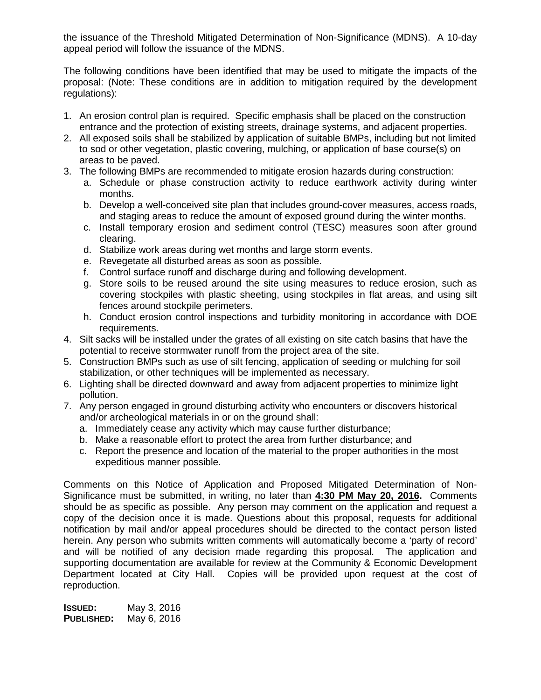the issuance of the Threshold Mitigated Determination of Non-Significance (MDNS). A 10-day appeal period will follow the issuance of the MDNS.

The following conditions have been identified that may be used to mitigate the impacts of the proposal: (Note: These conditions are in addition to mitigation required by the development regulations):

- 1. An erosion control plan is required. Specific emphasis shall be placed on the construction entrance and the protection of existing streets, drainage systems, and adjacent properties.
- 2. All exposed soils shall be stabilized by application of suitable BMPs, including but not limited to sod or other vegetation, plastic covering, mulching, or application of base course(s) on areas to be paved.
- 3. The following BMPs are recommended to mitigate erosion hazards during construction:
	- a. Schedule or phase construction activity to reduce earthwork activity during winter months.
	- b. Develop a well-conceived site plan that includes ground-cover measures, access roads, and staging areas to reduce the amount of exposed ground during the winter months.
	- c. Install temporary erosion and sediment control (TESC) measures soon after ground clearing.
	- d. Stabilize work areas during wet months and large storm events.
	- e. Revegetate all disturbed areas as soon as possible.
	- f. Control surface runoff and discharge during and following development.
	- g. Store soils to be reused around the site using measures to reduce erosion, such as covering stockpiles with plastic sheeting, using stockpiles in flat areas, and using silt fences around stockpile perimeters.
	- h. Conduct erosion control inspections and turbidity monitoring in accordance with DOE requirements.
- 4. Silt sacks will be installed under the grates of all existing on site catch basins that have the potential to receive stormwater runoff from the project area of the site.
- 5. Construction BMPs such as use of silt fencing, application of seeding or mulching for soil stabilization, or other techniques will be implemented as necessary.
- 6. Lighting shall be directed downward and away from adjacent properties to minimize light pollution.
- 7. Any person engaged in ground disturbing activity who encounters or discovers historical and/or archeological materials in or on the ground shall:
	- a. Immediately cease any activity which may cause further disturbance;
	- b. Make a reasonable effort to protect the area from further disturbance; and
	- c. Report the presence and location of the material to the proper authorities in the most expeditious manner possible.

Comments on this Notice of Application and Proposed Mitigated Determination of Non-Significance must be submitted, in writing, no later than **4:30 PM May 20, 2016.** Comments should be as specific as possible. Any person may comment on the application and request a copy of the decision once it is made. Questions about this proposal, requests for additional notification by mail and/or appeal procedures should be directed to the contact person listed herein. Any person who submits written comments will automatically become a 'party of record' and will be notified of any decision made regarding this proposal. The application and supporting documentation are available for review at the Community & Economic Development Department located at City Hall. Copies will be provided upon request at the cost of reproduction.

**ISSUED:** May 3, 2016 **PUBLISHED:** May 6, 2016